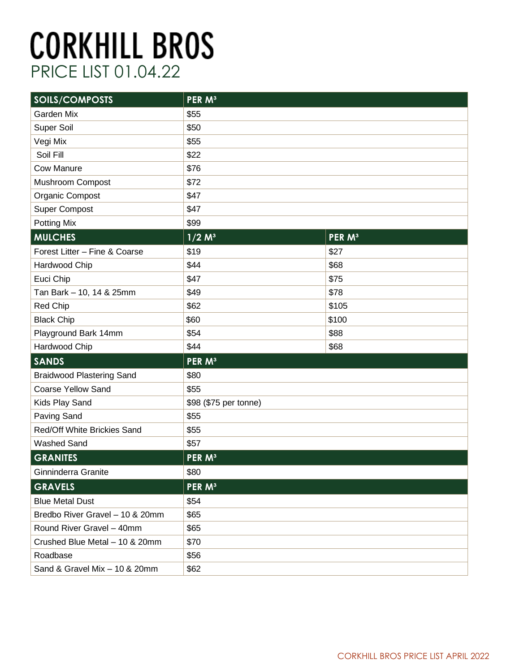| SOILS/COMPOSTS                   | PER M <sup>3</sup>    |                    |
|----------------------------------|-----------------------|--------------------|
| <b>Garden Mix</b>                | \$55                  |                    |
| Super Soil                       | \$50                  |                    |
| Vegi Mix                         | \$55                  |                    |
| Soil Fill                        | \$22                  |                    |
| <b>Cow Manure</b>                | \$76                  |                    |
| Mushroom Compost                 | \$72                  |                    |
| Organic Compost                  | \$47                  |                    |
| <b>Super Compost</b>             | \$47                  |                    |
| Potting Mix                      | \$99                  |                    |
| <b>MULCHES</b>                   | $1/2 M^3$             | PER M <sup>3</sup> |
| Forest Litter - Fine & Coarse    | \$19                  | \$27               |
| Hardwood Chip                    | \$44                  | \$68               |
| Euci Chip                        | \$47                  | \$75               |
| Tan Bark - 10, 14 & 25mm         | \$49                  | \$78               |
| Red Chip                         | \$62                  | \$105              |
| <b>Black Chip</b>                | \$60                  | \$100              |
| Playground Bark 14mm             | \$54                  | \$88               |
| Hardwood Chip                    | \$44                  | \$68               |
| <b>SANDS</b>                     | PER M <sup>3</sup>    |                    |
| <b>Braidwood Plastering Sand</b> | \$80                  |                    |
| <b>Coarse Yellow Sand</b>        | \$55                  |                    |
| Kids Play Sand                   | \$98 (\$75 per tonne) |                    |
| Paving Sand                      | \$55                  |                    |
| Red/Off White Brickies Sand      | \$55                  |                    |
| <b>Washed Sand</b>               | \$57                  |                    |
| <b>GRANITES</b>                  | PER M <sup>3</sup>    |                    |
| Ginninderra Granite              | \$80                  |                    |
| <b>GRAVELS</b>                   | PER M <sup>3</sup>    |                    |
| <b>Blue Metal Dust</b>           | \$54                  |                    |
| Bredbo River Gravel - 10 & 20mm  | \$65                  |                    |
| Round River Gravel - 40mm        | \$65                  |                    |
| Crushed Blue Metal - 10 & 20mm   | \$70                  |                    |
| Roadbase                         | \$56                  |                    |
| Sand & Gravel Mix - 10 & 20mm    | \$62                  |                    |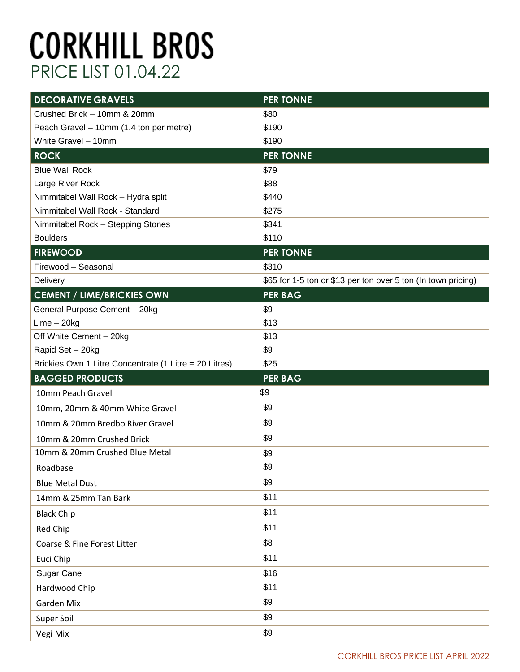| <b>DECORATIVE GRAVELS</b>                              | <b>PER TONNE</b>                                              |
|--------------------------------------------------------|---------------------------------------------------------------|
| Crushed Brick - 10mm & 20mm                            | \$80                                                          |
| Peach Gravel - 10mm (1.4 ton per metre)                | \$190                                                         |
| White Gravel - 10mm                                    | \$190                                                         |
| <b>ROCK</b>                                            | <b>PER TONNE</b>                                              |
| <b>Blue Wall Rock</b>                                  | \$79                                                          |
| Large River Rock                                       | \$88                                                          |
| Nimmitabel Wall Rock - Hydra split                     | \$440                                                         |
| Nimmitabel Wall Rock - Standard                        | \$275                                                         |
| Nimmitabel Rock - Stepping Stones                      | \$341                                                         |
| <b>Boulders</b>                                        | \$110                                                         |
| <b>FIREWOOD</b>                                        | <b>PER TONNE</b>                                              |
| Firewood - Seasonal                                    | \$310                                                         |
| Delivery                                               | \$65 for 1-5 ton or \$13 per ton over 5 ton (In town pricing) |
| <b>CEMENT / LIME/BRICKIES OWN</b>                      | <b>PER BAG</b>                                                |
| General Purpose Cement - 20kg                          | \$9                                                           |
| $Lime - 20kg$                                          | \$13                                                          |
| Off White Cement - 20kg                                | \$13                                                          |
| Rapid Set - 20kg                                       | \$9                                                           |
|                                                        |                                                               |
| Brickies Own 1 Litre Concentrate (1 Litre = 20 Litres) | \$25                                                          |
| <b>BAGGED PRODUCTS</b>                                 | <b>PER BAG</b>                                                |
| 10mm Peach Gravel                                      | \$9                                                           |
| 10mm, 20mm & 40mm White Gravel                         | \$9                                                           |
| 10mm & 20mm Bredbo River Gravel                        | \$9                                                           |
| 10mm & 20mm Crushed Brick                              | \$9                                                           |
| 10mm & 20mm Crushed Blue Metal                         | \$9                                                           |
| Roadbase                                               | \$9                                                           |
| <b>Blue Metal Dust</b>                                 | \$9                                                           |
| 14mm & 25mm Tan Bark                                   | \$11                                                          |
| <b>Black Chip</b>                                      | \$11                                                          |
| Red Chip                                               | \$11                                                          |
| Coarse & Fine Forest Litter                            | \$8                                                           |
| Euci Chip                                              | \$11                                                          |
| Sugar Cane                                             | \$16                                                          |
| Hardwood Chip                                          | \$11                                                          |
| Garden Mix                                             | \$9                                                           |
| Super Soil                                             | \$9                                                           |